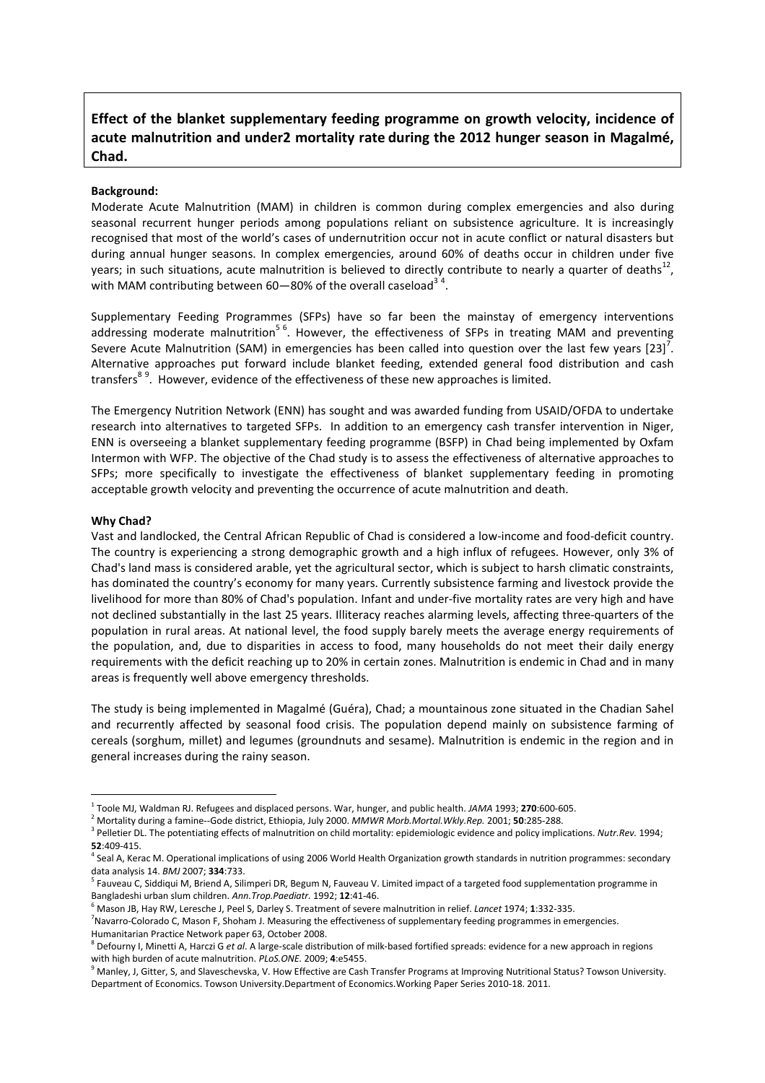# **Effect of the blanket supplementary feeding programme on growth velocity, incidence of acute malnutrition and under2 mortality rate during the 2012 hunger season in Magalmé, Chad.**

## **Background:**

Moderate Acute Malnutrition (MAM) in children is common during complex emergencies and also during seasonal recurrent hunger periods among populations reliant on subsistence agriculture. It is increasingly recognised that most of the world's cases of undernutrition occur not in acute conflict or natural disasters but during annual hunger seasons. In complex emergencies, around 60% of deaths occur in children under five years; in such situations, acute malnutrition is believed to directly contribute to nearly a quarter of deaths $^{12}$ , with MAM contributing between 60–80% of the overall caseload<sup>34</sup>.

Supplementary Feeding Programmes (SFPs) have so far been the mainstay of emergency interventions addressing moderate malnutrition<sup>56</sup>. However, the effectiveness of SFPs in treating MAM and preventing Severe Acute Malnutrition (SAM) in emergencies has been called into question over the last few years [23]<sup>7</sup>. Alternative approaches put forward include blanket feeding, extended general food distribution and cash transfers<sup>89</sup>. However, evidence of the effectiveness of these new approaches is limited.

The Emergency Nutrition Network (ENN) has sought and was awarded funding from USAID/OFDA to undertake research into alternatives to targeted SFPs. In addition to an emergency cash transfer intervention in Niger, ENN is overseeing a blanket supplementary feeding programme (BSFP) in Chad being implemented by Oxfam Intermon with WFP. The objective of the Chad study is to assess the effectiveness of alternative approaches to SFPs; more specifically to investigate the effectiveness of blanket supplementary feeding in promoting acceptable growth velocity and preventing the occurrence of acute malnutrition and death.

## **Why Chad?**

 $\overline{a}$ 

Vast and landlocked, the Central African Republic of Chad is considered a low-income and food-deficit country. The country is experiencing a strong demographic growth and a high influx of refugees. However, only 3% of Chad's land mass is considered arable, yet the agricultural sector, which is subject to harsh climatic constraints, has dominated the country's economy for many years. Currently subsistence farming and livestock provide the livelihood for more than 80% of Chad's population. Infant and under-five mortality rates are very high and have not declined substantially in the last 25 years. Illiteracy reaches alarming levels, affecting three-quarters of the population in rural areas. At national level, the food supply barely meets the average energy requirements of the population, and, due to disparities in access to food, many households do not meet their daily energy requirements with the deficit reaching up to 20% in certain zones. Malnutrition is endemic in Chad and in many areas is frequently well above emergency thresholds.

The study is being implemented in Magalmé (Guéra), Chad; a mountainous zone situated in the Chadian Sahel and recurrently affected by seasonal food crisis. The population depend mainly on subsistence farming of cereals (sorghum, millet) and legumes (groundnuts and sesame). Malnutrition is endemic in the region and in general increases during the rainy season.

<sup>1</sup> Toole MJ, Waldman RJ. Refugees and displaced persons. War, hunger, and public health. *JAMA* 1993; **270**:600-605.

<sup>2</sup> Mortality during a famine--Gode district, Ethiopia, July 2000. *MMWR Morb.Mortal.Wkly.Rep.* 2001; **50**:285-288.

<sup>3</sup> Pelletier DL. The potentiating effects of malnutrition on child mortality: epidemiologic evidence and policy implications. *Nutr.Rev.* 1994; **52:**409-415.

<sup>&</sup>lt;sup>t</sup> Seal A, Kerac M. Operational implications of using 2006 World Health Organization growth standards in nutrition programmes: secondary data analysis 14. *BMJ* 2007; **334**:733.

<sup>&</sup>lt;sup>5</sup> Fauveau C, Siddiqui M, Briend A, Silimperi DR, Begum N, Fauveau V. Limited impact of a targeted food supplementation programme in Bangladeshi urban slum children. *Ann.Trop.Paediatr.* 1992; **12**:41-46.

<sup>6</sup> Mason JB, Hay RW, Leresche J, Peel S, Darley S. Treatment of severe malnutrition in relief. *Lancet* 1974; **1**:332-335.

<sup>&</sup>lt;sup>7</sup> Navarro-Colorado C, Mason F, Shoham J. Measuring the effectiveness of supplementary feeding programmes in emergencies. Humanitarian Practice Network paper 63, October 2008.

<sup>8</sup> Defourny I, Minetti A, Harczi G *et al*. A large-scale distribution of milk-based fortified spreads: evidence for a new approach in regions with high burden of acute malnutrition. *PLoS.ONE.* 2009; **4**:e5455.

<sup>&</sup>lt;sup>9</sup> Manley, J, Gitter, S, and Slaveschevska, V. How Effective are Cash Transfer Programs at Improving Nutritional Status? Towson University. Department of Economics. Towson University.Department of Economics.Working Paper Series 2010-18. 2011.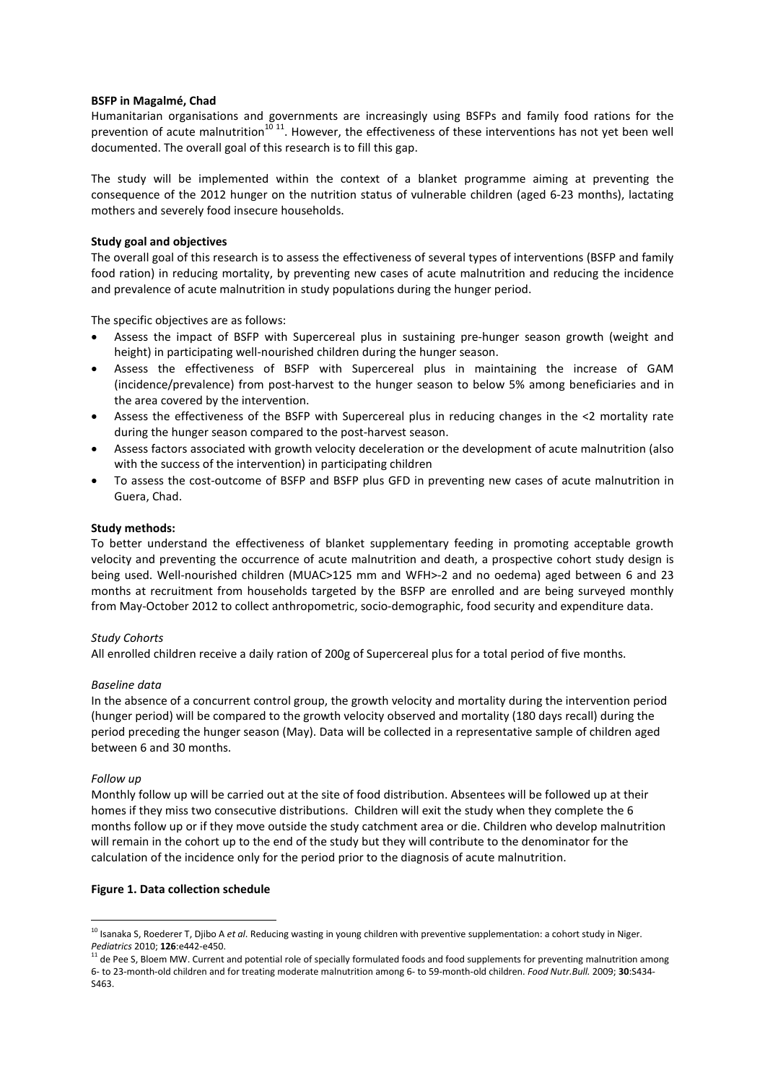## **BSFP in Magalmé, Chad**

Humanitarian organisations and governments are increasingly using BSFPs and family food rations for the prevention of acute malnutrition $^{10\;11}$ . However, the effectiveness of these interventions has not yet been well documented. The overall goal of this research is to fill this gap.

The study will be implemented within the context of a blanket programme aiming at preventing the consequence of the 2012 hunger on the nutrition status of vulnerable children (aged 6-23 months), lactating mothers and severely food insecure households.

## **Study goal and objectives**

The overall goal of this research is to assess the effectiveness of several types of interventions (BSFP and family food ration) in reducing mortality, by preventing new cases of acute malnutrition and reducing the incidence and prevalence of acute malnutrition in study populations during the hunger period.

The specific objectives are as follows:

- Assess the impact of BSFP with Supercereal plus in sustaining pre-hunger season growth (weight and height) in participating well-nourished children during the hunger season.
- Assess the effectiveness of BSFP with Supercereal plus in maintaining the increase of GAM (incidence/prevalence) from post-harvest to the hunger season to below 5% among beneficiaries and in the area covered by the intervention.
- Assess the effectiveness of the BSFP with Supercereal plus in reducing changes in the <2 mortality rate during the hunger season compared to the post-harvest season.
- Assess factors associated with growth velocity deceleration or the development of acute malnutrition (also with the success of the intervention) in participating children
- To assess the cost-outcome of BSFP and BSFP plus GFD in preventing new cases of acute malnutrition in Guera, Chad.

## **Study methods:**

To better understand the effectiveness of blanket supplementary feeding in promoting acceptable growth velocity and preventing the occurrence of acute malnutrition and death, a prospective cohort study design is being used. Well-nourished children (MUAC>125 mm and WFH>-2 and no oedema) aged between 6 and 23 months at recruitment from households targeted by the BSFP are enrolled and are being surveyed monthly from May-October 2012 to collect anthropometric, socio-demographic, food security and expenditure data.

## *Study Cohorts*

All enrolled children receive a daily ration of 200g of Supercereal plus for a total period of five months.

## *Baseline data*

In the absence of a concurrent control group, the growth velocity and mortality during the intervention period (hunger period) will be compared to the growth velocity observed and mortality (180 days recall) during the period preceding the hunger season (May). Data will be collected in a representative sample of children aged between 6 and 30 months.

## *Follow up*

 $\overline{a}$ 

Monthly follow up will be carried out at the site of food distribution. Absentees will be followed up at their homes if they miss two consecutive distributions. Children will exit the study when they complete the 6 months follow up or if they move outside the study catchment area or die. Children who develop malnutrition will remain in the cohort up to the end of the study but they will contribute to the denominator for the calculation of the incidence only for the period prior to the diagnosis of acute malnutrition.

## **Figure 1. Data collection schedule**

<sup>&</sup>lt;sup>10</sup> Isanaka S, Roederer T, Djibo A *et al*. Reducing wasting in young children with preventive supplementation: a cohort study in Niger. *Pediatrics* 2010; **126**:e442-e450.

<sup>11</sup> de Pee S, Bloem MW. Current and potential role of specially formulated foods and food supplements for preventing malnutrition among 6- to 23-month-old children and for treating moderate malnutrition among 6- to 59-month-old children. *Food Nutr.Bull.* 2009; **30**:S434- S463.